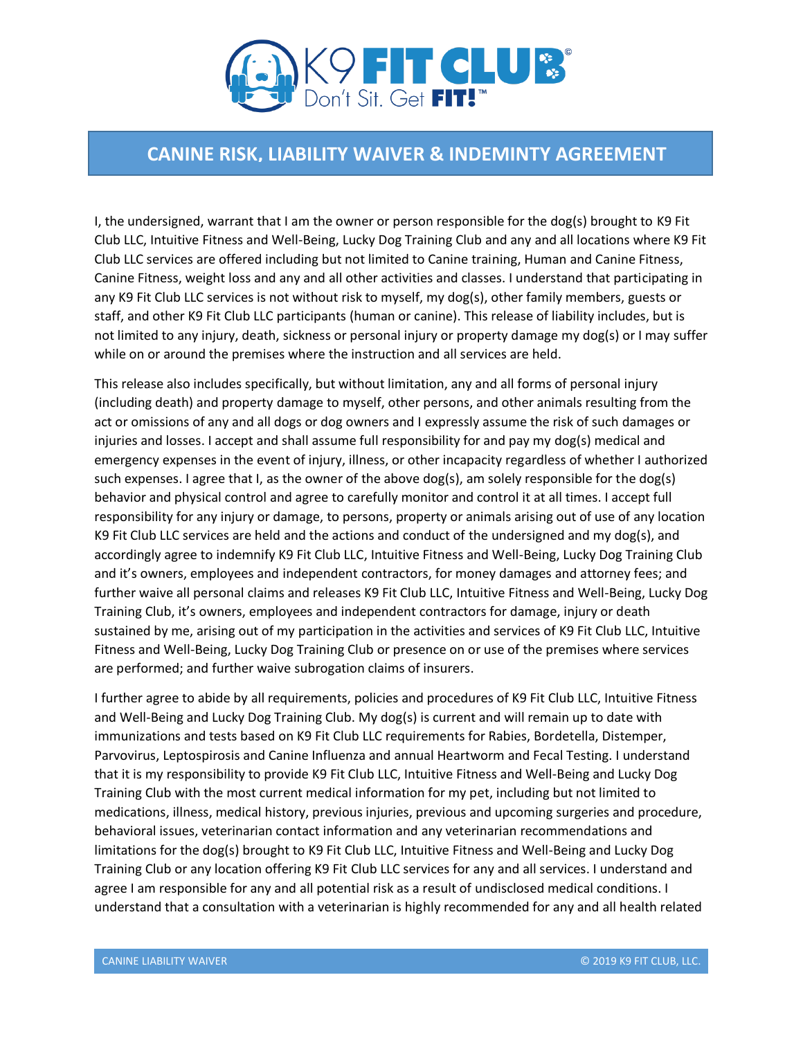

## **CANINE RISK, LIABILITY WAIVER & INDEMINTY AGREEMENT**

I, the undersigned, warrant that I am the owner or person responsible for the dog(s) brought to K9 Fit Club LLC, Intuitive Fitness and Well-Being, Lucky Dog Training Club and any and all locations where K9 Fit Club LLC services are offered including but not limited to Canine training, Human and Canine Fitness, Canine Fitness, weight loss and any and all other activities and classes. I understand that participating in any K9 Fit Club LLC services is not without risk to myself, my dog(s), other family members, guests or staff, and other K9 Fit Club LLC participants (human or canine). This release of liability includes, but is not limited to any injury, death, sickness or personal injury or property damage my dog(s) or I may suffer while on or around the premises where the instruction and all services are held.

This release also includes specifically, but without limitation, any and all forms of personal injury (including death) and property damage to myself, other persons, and other animals resulting from the act or omissions of any and all dogs or dog owners and I expressly assume the risk of such damages or injuries and losses. I accept and shall assume full responsibility for and pay my dog(s) medical and emergency expenses in the event of injury, illness, or other incapacity regardless of whether I authorized such expenses. I agree that I, as the owner of the above dog(s), am solely responsible for the dog(s) behavior and physical control and agree to carefully monitor and control it at all times. I accept full responsibility for any injury or damage, to persons, property or animals arising out of use of any location K9 Fit Club LLC services are held and the actions and conduct of the undersigned and my dog(s), and accordingly agree to indemnify K9 Fit Club LLC, Intuitive Fitness and Well-Being, Lucky Dog Training Club and it's owners, employees and independent contractors, for money damages and attorney fees; and further waive all personal claims and releases K9 Fit Club LLC, Intuitive Fitness and Well-Being, Lucky Dog Training Club, it's owners, employees and independent contractors for damage, injury or death sustained by me, arising out of my participation in the activities and services of K9 Fit Club LLC, Intuitive Fitness and Well-Being, Lucky Dog Training Club or presence on or use of the premises where services are performed; and further waive subrogation claims of insurers.

I further agree to abide by all requirements, policies and procedures of K9 Fit Club LLC, Intuitive Fitness and Well-Being and Lucky Dog Training Club. My dog(s) is current and will remain up to date with immunizations and tests based on K9 Fit Club LLC requirements for Rabies, Bordetella, Distemper, Parvovirus, Leptospirosis and Canine Influenza and annual Heartworm and Fecal Testing. I understand that it is my responsibility to provide K9 Fit Club LLC, Intuitive Fitness and Well-Being and Lucky Dog Training Club with the most current medical information for my pet, including but not limited to medications, illness, medical history, previous injuries, previous and upcoming surgeries and procedure, behavioral issues, veterinarian contact information and any veterinarian recommendations and limitations for the dog(s) brought to K9 Fit Club LLC, Intuitive Fitness and Well-Being and Lucky Dog Training Club or any location offering K9 Fit Club LLC services for any and all services. I understand and agree I am responsible for any and all potential risk as a result of undisclosed medical conditions. I understand that a consultation with a veterinarian is highly recommended for any and all health related